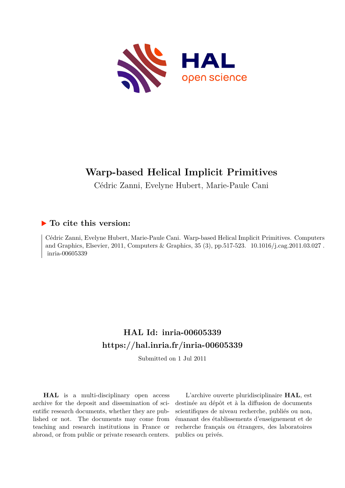

# **Warp-based Helical Implicit Primitives**

Cédric Zanni, Evelyne Hubert, Marie-Paule Cani

# **To cite this version:**

Cédric Zanni, Evelyne Hubert, Marie-Paule Cani. Warp-based Helical Implicit Primitives. Computers and Graphics, Elsevier, 2011, Computers & Graphics, 35 (3), pp.517-523.  $10.1016/j.cag.2011.03.027$ . inria-00605339

# **HAL Id: inria-00605339 <https://hal.inria.fr/inria-00605339>**

Submitted on 1 Jul 2011

**HAL** is a multi-disciplinary open access archive for the deposit and dissemination of scientific research documents, whether they are published or not. The documents may come from teaching and research institutions in France or abroad, or from public or private research centers.

L'archive ouverte pluridisciplinaire **HAL**, est destinée au dépôt et à la diffusion de documents scientifiques de niveau recherche, publiés ou non, émanant des établissements d'enseignement et de recherche français ou étrangers, des laboratoires publics ou privés.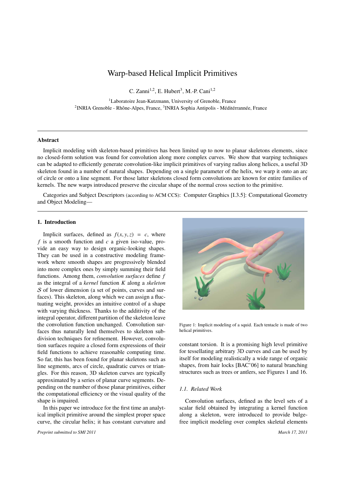# Warp-based Helical Implicit Primitives

C. Zanni<sup>1,2</sup>, E. Hubert<sup>3</sup>, M.-P. Cani<sup>1,2</sup>

<sup>1</sup>Laboratoire Jean-Kutzmann, University of Grenoble, France <sup>2</sup>INRIA Grenoble - Rhône-Alpes, France, <sup>3</sup>INRIA Sophia Antipolis - Méditérrannée, France

# Abstract

Implicit modeling with skeleton-based primitives has been limited up to now to planar skeletons elements, since no closed-form solution was found for convolution along more complex curves. We show that warping techniques can be adapted to efficiently generate convolution-like implicit primitives of varying radius along helices, a useful 3D skeleton found in a number of natural shapes. Depending on a single parameter of the helix, we warp it onto an arc of circle or onto a line segment. For those latter skeletons closed form convolutions are known for entire families of kernels. The new warps introduced preserve the circular shape of the normal cross section to the primitive.

Categories and Subject Descriptors (according to ACM CCS): Computer Graphics [I.3.5]: Computational Geometry and Object Modeling—

# 1. Introduction

Implicit surfaces, defined as  $f(x, y, z) = c$ , where *f* is a smooth function and *c* a given iso-value, provide an easy way to design organic-looking shapes. They can be used in a constructive modeling framework where smooth shapes are progressively blended into more complex ones by simply summing their field functions. Among them, *convolution surfaces* define *f* as the integral of a *kernel* function *K* along a *skeleton* S of lower dimension (a set of points, curves and surfaces). This skeleton, along which we can assign a fluctuating weight, provides an intuitive control of a shape with varying thickness. Thanks to the additivity of the integral operator, different partition of the skeleton leave the convolution function unchanged. Convolution surfaces thus naturally lend themselves to skeleton subdivision techniques for refinement. However, convolution surfaces require a closed form expressions of their field functions to achieve reasonable computing time. So far, this has been found for planar skeletons such as line segments, arcs of circle, quadratic curves or triangles. For this reason, 3D skeleton curves are typically approximated by a series of planar curve segments. Depending on the number of those planar primitives, either the computational efficiency or the visual quality of the shape is impaired.

In this paper we introduce for the first time an analytical implicit primitive around the simplest proper space curve, the circular helix; it has constant curvature and

*Preprint submitted to SMI 2011 March 17, 2011*



Figure 1: Implicit modeling of a squid. Each tentacle is made of two helical primitives.

constant torsion. It is a promising high level primitive for tessellating arbitrary 3D curves and can be used by itself for modeling realistically a wide range of organic shapes, from hair locks [BAC∗06] to natural branching structures such as trees or antlers, see Figures 1 and 16.

# *1.1. Related Work*

Convolution surfaces, defined as the level sets of a scalar field obtained by integrating a kernel function along a skeleton, were introduced to provide bulgefree implicit modeling over complex skeletal elements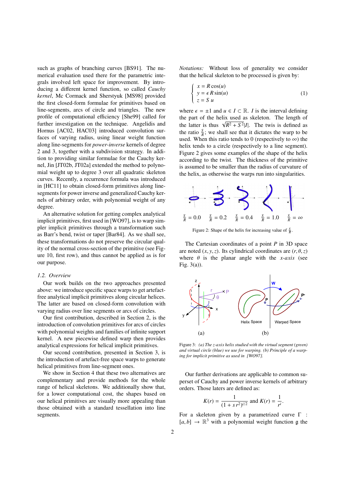such as graphs of branching curves [BS91]. The numerical evaluation used there for the parametric integrals involved left space for improvement. By introducing a different kernel function, so called *Cauchy kernel*, Mc Cormack and Sherstyuk [MS98] provided the first closed-form formulae for primitives based on line-segments, arcs of circle and triangles. The new profile of computational efficiency [She99] called for further investigation on the technique. Angelidis and Hornus [AC02, HAC03] introduced convolution surfaces of varying radius, using linear weight function along line-segments for *power-inverse* kernels of degree 2 and 3, together with a subdivision strategy. In addition to providing similar formulae for the Cauchy kernel, Jin [JT02b, JT02a] extended the method to polynomial weight up to degree 3 over all quadratic skeleton curves. Recently, a recurrence formula was introduced in [HC11] to obtain closed-form primitives along linesegments for power inverse and generalized Cauchy kernels of arbitrary order, with polynomial weight of any degree.

An alternative solution for getting complex analytical implicit primitives, first used in [WO97], is to warp simpler implicit primitives through a transformation such as Barr's bend, twist or taper [Bar84]. As we shall see, these transformations do not preserve the circular quality of the normal cross-section of the primitive (see Figure 10, first row), and thus cannot be applied as is for our purpose.

## *1.2. Overview*

Our work builds on the two approaches presented above: we introduce specific space warps to get artefactfree analytical implicit primitives along circular helices. The latter are based on closed-form convolution with varying radius over line segments or arcs of circles.

Our first contribution, described in Section 2, is the introduction of convolution primitives for arcs of circles with polynomial weights and families of infinite support kernel. A new piecewise defined warp then provides analytical expressions for helical implicit primitives.

Our second contribution, presented in Section 3, is the introduction of artefact-free space warps to generate helical primitives from line-segment ones.

We show in Section 4 that these two alternatives are complementary and provide methods for the whole range of helical skeletons. We additionally show that, for a lower computational cost, the shapes based on our helical primitives are visually more appealing than those obtained with a standard tessellation into line segments.

*Notations:* Without loss of generality we consider that the helical skeleton to be processed is given by:

$$
\begin{cases}\n x = R\cos(u) \\
 y = \epsilon R\sin(u) \\
 z = S \ u\n\end{cases}
$$
\n(1)

where  $\epsilon = \pm 1$  and  $u \in I \subset \mathbb{R}$ . *I* is the interval defining the part of the helix used as skeleton. The length of the latter is thus  $\sqrt{R^2 + S^2}$ [*I*]. The twis is defined as the ratio  $\frac{S}{R}$ ; we shall see that it dictates the warp to be used. When this ratio tends to 0 (respectively to  $\infty$ ) the helix tends to a circle (respectively to a line segment). Figure 2 gives some examples of the shape of the helix according to the twist. The thickness of the primitive is assumed to be smaller than the radius of curvature of the helix, as otherwise the warps run into singularities.



Figure 2: Shape of the helix for increasing value of  $\frac{S}{R}$ .

The Cartesian coordinates of a point *P* in 3D space are noted  $(x, y, z)$ . Its cylindrical coordinates are  $(r, \theta, z)$ where  $\theta$  is the planar angle with the *x*-*axis* (see Fig. 3(a)).



Figure 3: *(a) The z-axis helix studied with the virtual segment (green) and virtual circle (blue) we use for warping. (b) Principle of a warping for implicit primitive as used in [WO97].*

Our further derivations are applicable to common superset of Cauchy and power inverse kernels of arbitrary orders. Those laters are defined as:

$$
K(r) = \frac{1}{(1 + s r^2)^{i/2}}
$$
 and  $K(r) = \frac{1}{r^i}$ .

For a skeleton given by a parametrized curve  $\Gamma$  :  $[a, b] \rightarrow \mathbb{R}^3$  with a polynomial weight function g the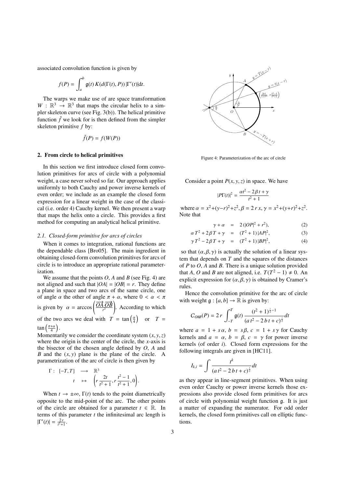associated convolution function is given by

$$
f(P) = \int_a^b \mathfrak{g}(t) K(d(\Gamma(t), P)) |\Gamma'(t)| dt.
$$

The warps we make use of are space transformation  $W : \mathbb{R}^3 \to \mathbb{R}^3$  that maps the circular helix to a simpler skeleton curve (see Fig. 3(b)). The helical primitive function  $\tilde{f}$  we look for is then defined from the simpler skeleton primitive *f* by:

$$
\tilde{f}(P) = f(W(P))
$$

## 2. From circle to helical primitives

In this section we first introduce closed form convolution primitives for arcs of circle with a polynomial weight, a case never solved so far. Our approach applies uniformly to both Cauchy and power inverse kernels of even order; we include as an example the closed form expression for a linear weight in the case of the classical (i.e. order 4) Cauchy kernel. We then present a warp that maps the helix onto a circle. This provides a first method for computing an analytical helical primitive.

## *2.1. Closed-form primitive for arcs of circles*

When it comes to integration, rational functions are the dependable class [Bro05]. The main ingredient in obtaining closed-form convolution primitives for arcs of circle is to introduce an appropriate rational parameterization.

We assume that the points *O*, *A* and *B* (see Fig. 4) are not aligned and such that  $|OA| = |OB| = r$ . They define a plane in space and two arcs of the same circle, one of angle  $\alpha$  the other of angle  $\pi + \alpha$ , where  $0 < \alpha < \pi$ is given by  $\alpha = \arccos\left(\frac{\overrightarrow{OA} \cdot \overrightarrow{OB}}{r^2}\right)$ . According to which of the two arcs we deal with  $T = \tan\left(\frac{\alpha}{4}\right)$  or  $T =$  $\tan\left(\frac{\pi+\alpha}{4}\right)$ .

Momentarily we consider the coordinate system  $(x, y, z)$ where the origin is the center of the circle, the *x*-axis is the bisector of the chosen angle defined by *O*, *A* and *B* and the (*x*, *y*) plane is the plane of the circle. A parametrization of the arc of circle is then given by

$$
\Gamma: \begin{bmatrix} -T, T \end{bmatrix} \longrightarrow \begin{bmatrix} \mathbb{R}^3 \\ t \end{bmatrix} \longrightarrow \begin{bmatrix} \frac{2t}{t^2+1}, r\frac{t^2-1}{t^2+1}, 0 \end{bmatrix}.
$$

When  $t \to \pm \infty$ ,  $\Gamma(t)$  tends to the point diametrically opposite to the mid-point of the arc. The other points of the circle are obtained for a parameter  $t \in \mathbb{R}$ . In terms of this parameter  $t$  the infinitesimal arc length is  $|\Gamma'(t)| = \frac{2r}{t^2+1}.$ 



Figure 4: Parameterization of the arc of circle

Consider a point  $P(x, y, z)$  in space. We have

$$
|P\Gamma(t)|^2 = \frac{\alpha t^2 - 2\beta t + \gamma}{t^2 + 1}
$$

where  $\alpha = x^2 + (y - r)^2 + z^2$ ,  $\beta = 2 r x$ ,  $\gamma = x^2 + (y + r)^2 + z^2$ . Note that

$$
\gamma + \alpha = 2(|OP|^2 + r^2),
$$
 (2)

$$
\alpha T^2 + 2\beta T + \gamma = (T^2 + 1)|AP|^2,
$$
 (3)

$$
\gamma T^2 - 2\beta T + \gamma = (T^2 + 1)|BP|^2, \tag{4}
$$

so that  $(\alpha, \beta, \gamma)$  is actually the solution of a linear system that depends on *T* and the squares of the distances of *P* to *O*, *A* and *B*. There is a unique solution provided that *A*, *O* and *B* are not aligned, i.e.  $T(T^2 - 1) \neq 0$ . An explicit expression for  $(\alpha, \beta, \gamma)$  is obtained by Cramer's rules.

Hence the convolution primitive for the arc of circle with weight  $g : [a, b] \rightarrow \mathbb{R}$  is given by:

$$
C_{OAB}(P) = 2 r \int_{-T}^{T} \mathfrak{g}(t) \, \frac{(t^2 + 1)^{\frac{i}{2} - 1}}{(a t^2 - 2 b t + c)^{\frac{i}{2}}} dt
$$

where  $a = 1 + s\alpha$ ,  $b = s\beta$ ,  $c = 1 + s\gamma$  for Cauchy kernels and  $a = \alpha$ ,  $b = \beta$ ,  $c = \gamma$  for power inverse kernels (of order *i*). Closed form expressions for the following integrals are given in [HC11].

$$
I_{k,i} = \int \frac{t^k}{(at^2 - 2bt + c)^{\frac{i}{2}}} dt
$$

as they appear in line-segment primitives. When using even order Cauchy or power inverse kernels those expressions also provide closed form primitives for arcs of circle with polynomial weight function g. It is just a matter of expanding the numerator. For odd order kernels, the closed form primitives call on elliptic functions.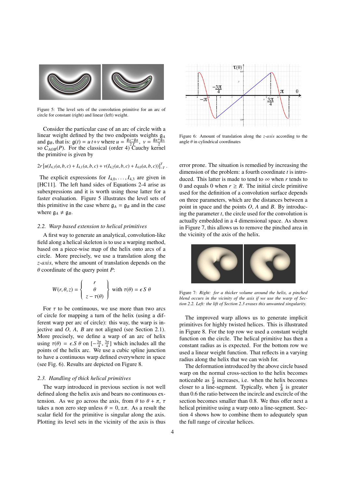

Figure 5: The level sets of the convolution primitive for an arc of circle for constant (right) and linear (left) weight.

Consider the particular case of an arc of circle with a linear weight defined by the two endpoints weights g*<sup>A</sup>* and  $g_B$ , that is:  $g(t) = u \, t + v$  where  $u = \frac{g_A - g_B}{2T}$ ,  $v = \frac{g_B + g_A}{2T}$ so  $C_{AOB}(P)$ . For the classical (order 4) Cauchy kernel the primitive is given by

$$
2r[u(I_{4,3}(a,b,c) + I_{4,1}(a,b,c) + v(I_{4,2}(a,b,c) + I_{4,0}(a,b,c))]_{-T}^{T}.
$$

The explicit expressions for  $I_{4,0}, \ldots, I_{4,3}$  are given in [HC11]. The left hand sides of Equations 2-4 arise as subexpressions and it is worth using those latter for a faster evaluation. Figure 5 illustrates the level sets of this primitive in the case where  $g_A = g_B$  and in the case where  $g_A \neq g_B$ .

# *2.2. Warp based extension to helical primitives*

A first way to generate an analytical, convolution-like field along a helical skeleton is to use a warping method, based on a piece-wise map of the helix onto arcs of a circle. More precisely, we use a translation along the *z*-*axis*, where the amount of translation depends on the  $\theta$  coordinate of the query point *P*:

$$
W(r, \theta, z) = \begin{cases} r \\ \theta \\ z - \tau(\theta) \end{cases} \text{ with } \tau(\theta) = \epsilon S \ \theta
$$

For  $\tau$  to be continuous, we use more than two arcs of circle for mapping a turn of the helix (using a different warp per arc of circle): this way, the warp is injective and *O*, *A*, *B* are not aligned (see Section 2.1). More precisely, we define a warp of an arc of helix using  $\tau(\theta) = \epsilon \cdot S \theta$  on  $\left[-\frac{3\pi}{4}, \frac{3\pi}{4}\right]$  which includes all the points of the helix arc. We use a cubic spline junction to have a continuous warp defined everywhere in space (see Fig. 6). Results are depicted on Figure 8.

#### *2.3. Handling of thick helical primitives*

The warp introduced in previous section is not well defined along the helix axis and bears no continuous extension. As we go across the axis, from  $\theta$  to  $\theta + \pi$ ,  $\tau$ takes a non zero step unless  $\theta = 0, \pm \pi$ . As a result the scalar field for the primitive is singular along the axis. Plotting its level sets in the vicinity of the axis is thus



Figure 6: Amount of translation along the *z*-*axis* according to the angle  $\theta$  in cylindrical coordinates

error prone. The situation is remedied by increasing the dimension of the problem: a fourth coordinate *t* is introduced. This latter is made to tend to  $\infty$  when *r* tends to 0 and equals 0 when  $r \geq R$ . The initial circle primitive used for the definition of a convolution surface depends on three parameters, which are the distances between a point in space and the points *O*, *A* and *B*. By introducing the parameter *t*, the circle used for the convolution is actually embedded in a 4 dimensional space. As shown in Figure 7, this allows us to remove the pinched area in the vicinity of the axis of the helix.



Figure 7: *Right: for a thicker volume around the helix, a pinched blend occurs in the vicinity of the axis if we use the warp of Section 2.2. Left: the lift of Section 2.3 erases this unwanted singularity.*

The improved warp allows us to generate implicit primitives for highly twisted helices. This is illustrated in Figure 8. For the top row we used a constant weight function on the circle. The helical primitive has then a constant radius as is expected. For the bottom row we used a linear weight function. That reflects in a varying radius along the helix that we can wish for.

The deformation introduced by the above circle based warp on the normal cross-section to the helix becomes noticeable as  $\frac{S}{R}$  increases, i.e. when the helix becomes closer to a line-segment. Typically, when  $\frac{S}{R}$  is greater than 0.6 the ratio between the incircle and excircle of the section becomes smaller than 0.8. We thus offer next a helical primitive using a warp onto a line-segment. Section 4 shows how to combine them to adequately span the full range of circular helices.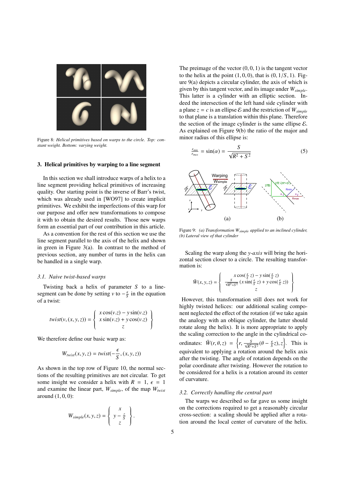

Figure 8: *Helical primitives based on warps to the circle. Top: constant weight. Bottom: varying weight.*

#### 3. Helical primitives by warping to a line segment

In this section we shall introduce warps of a helix to a line segment providing helical primitives of increasing quality. Our starting point is the inverse of Barr's twist, which was already used in [WO97] to create implicit primitives. We exhibit the imperfections of this warp for our purpose and offer new transformations to compose it with to obtain the desired results. Those new warps form an essential part of our contribution in this article.

As a convention for the rest of this section we use the line segment parallel to the axis of the helix and shown in green in Figure 3(a). In contrast to the method of previous section, any number of turns in the helix can be handled in a single warp.

#### *3.1. Naive twist-based warps*

Twisting back a helix of parameter *S* to a linesegment can be done by setting *v* to  $-\frac{\epsilon}{S}$  in the equation of a twist:

$$
twist(v, (x, y, z)) = \left\{\begin{array}{c} x\cos(v.z) - y\sin(v.z) \\ x\sin(v.z) + y\cos(v.z) \\ z \end{array}\right\}
$$

We therefore define our basic warp as:

$$
W_{twist}(x, y, z) = twist(-\frac{\epsilon}{S}, (x, y, z))
$$

As shown in the top row of Figure 10, the normal sections of the resulting primitives are not circular. To get some insight we consider a helix with  $R = 1$ ,  $\epsilon = 1$ and examine the linear part, *Wsimple*, of the map *Wtwist* around  $(1, 0, 0)$ :

$$
W_{simple}(x, y, z) = \left\{ \begin{array}{c} x \\ y - \frac{z}{S} \\ z \end{array} \right\}.
$$

The preimage of the vector  $(0, 0, 1)$  is the tangent vector to the helix at the point  $(1, 0, 0)$ , that is  $(0, 1/S, 1)$ . Figure 9(a) depicts a circular cylinder, the axis of which is given by this tangent vector, and its image under *Wsimple*. This latter is a cylinder with an elliptic section. Indeed the intersection of the left hand side cylinder with a plane  $z = c$  is an ellipse  $\mathcal E$  and the restriction of  $W_{simple}$ to that plane is a translation within this plane. Therefore the section of the image cylinder is the same ellipse  $\mathcal{E}$ . As explained on Figure 9(b) the ratio of the major and minor radius of this ellipse is:

$$
\frac{r_{min}}{r_{max}} = \sin(\alpha) = \frac{S}{\sqrt{R^2 + S^2}}
$$
(5)



Figure 9: *(a) Transformation Wsimple applied to an inclined cylinder, (b) Lateral view of that cylinder*

Scaling the warp along the *y*-*axis* will bring the horizontal section closer to a circle. The resulting transformation is:

$$
\tilde{W}(x, y, z) = \begin{cases}\n x \cos(\frac{\epsilon}{s} z) - y \sin(\frac{\epsilon}{s} z) \\
 \frac{S}{\sqrt{R^2 + S^2}} (x \sin(\frac{\epsilon}{s} z) + y \cos(\frac{\epsilon}{s} z)) \\
 z\n\end{cases}
$$

However, this transformation still does not work for highly twisted helices: our additional scaling component neglected the effect of the rotation (if we take again the analogy with an oblique cylinder, the latter should rotate along the helix). It is more appropriate to apply the scaling correction to the angle in the cylindrical coordinates:  $\bar{W}(r, \theta, z) = \left\{ r, \frac{s}{\sqrt{R^2 + S^2}} (\theta - \frac{\epsilon}{S} z), z \right\}$ . This is equivalent to applying a rotation around the helix axis after the twisting. The angle of rotation depends on the polar coordinate after twisting. However the rotation to be considered for a helix is a rotation around its center of curvature.

#### *3.2. Correctly handling the central part*

The warps we described so far gave us some insight on the corrections required to get a reasonably circular cross-section: a scaling should be applied after a rotation around the local center of curvature of the helix.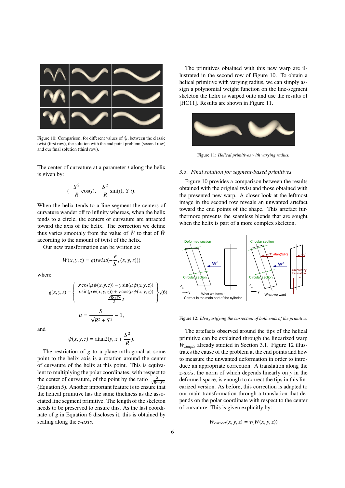

Figure 10: Comparison, for different values of  $\frac{S}{R}$ , between the classic twist (first row), the solution with the end point problem (second row) and our final solution (third row).

The center of curvature at a parameter *t* along the helix is given by:

$$
(-\frac{S^2}{R}\cos(t), -\frac{S^2}{R}\sin(t), S \ t).
$$

When the helix tends to a line segment the centers of curvature wander off to infinity whereas, when the helix tends to a circle, the centers of curvature are attracted toward the axis of the helix. The correction we define thus varies smoothly from the value of  $\tilde{W}$  to that of  $\bar{W}$ according to the amount of twist of the helix.

Our new transformation can be written as:

$$
W(x, y, z) = g(twist(-\frac{\epsilon}{S}, (x, y, z)))
$$

where

$$
g(x, y, z) = \begin{cases} x \cos(\mu \psi(x, y, z)) - y \sin(\mu \psi(x, y, z)) \\ x \sin(\mu \psi(x, y, z)) + y \cos(\mu \psi(x, y, z)) \\ \frac{\sqrt{R^2 + S^2}}{S} z \end{cases}, (6)
$$

$$
\mu = \frac{S}{\sqrt{R^2 + S^2}} - 1,
$$

and

$$
\psi(x, y, z) = \operatorname{atan2}(y, x + \frac{S^2}{R}).
$$

The restriction of *g* to a plane orthogonal at some point to the helix axis is a rotation around the center of curvature of the helix at this point. This is equivalent to multiplying the polar coordinates, with respect to the center of curvature, of the point by the ratio  $\frac{S}{\sqrt{R^2 + S^2}}$ (Equation 5). Another important feature is to ensure that the helical primitive has the same thickness as the associated line segment primitive. The length of the skeleton needs to be preserved to ensure this. As the last coordinate of *g* in Equation 6 discloses it, this is obtained by scaling along the *z*-*axis*.

The primitives obtained with this new warp are illustrated in the second row of Figure 10. To obtain a helical primitive with varying radius, we can simply assign a polynomial weight function on the line-segment skeleton the helix is warped onto and use the results of [HC11]. Results are shown in Figure 11.



Figure 11: *Helical primitives with varying radius.*

#### *3.3. Final solution for segment-based primitives*

Figure 10 provides a comparison between the results obtained with the original twist and those obtained with the presented new warp. A closer look at the leftmost image in the second row reveals an unwanted artefact toward the end points of the shape. This artefact furthermore prevents the seamless blends that are sought when the helix is part of a more complex skeleton.



Figure 12: *Idea justifying the correction of both ends of the primitive.*

The artefacts observed around the tips of the helical primitive can be explained through the linearized warp *Wsimple* already studied in Section 3.1. Figure 12 illustrates the cause of the problem at the end points and how to measure the unwanted deformation in order to introduce an appropriate correction. A translation along the *z*-*axis*, the norm of which depends linearly on *y* in the deformed space, is enough to correct the tips in this linearized version. As before, this correction is adapted to our main transformation through a translation that depends on the polar coordinate with respect to the center of curvature. This is given explicitly by:

$$
W_{correct}(x, y, z) = \tau(W(x, y, z))
$$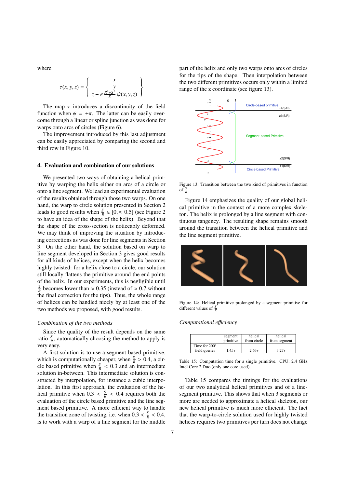where

$$
\tau(x, y, z) = \begin{cases}\nx \\
y \\
z - \epsilon \frac{R^2 + S^2}{S} \psi(x, y, z)\n\end{cases}
$$

The map  $\tau$  introduces a discontinuity of the field function when  $\psi = \pm \pi$ . The latter can be easily overcome through a linear or spline junction as was done for warps onto arcs of circles (Figure 6).

The improvement introduced by this last adjustment can be easily appreciated by comparing the second and third row in Figure 10.

#### 4. Evaluation and combination of our solutions

We presented two ways of obtaining a helical primitive by warping the helix either on arcs of a circle or onto a line segment. We lead an experimental evaluation of the results obtained through those two warps. On one hand, the warp to circle solution presented in Section 2 leads to good results when  $\frac{S}{R} \in [0, \approx 0.5]$  (see Figure 2) to have an idea of the shape of the helix). Beyond that the shape of the cross-section is noticeably deformed. We may think of improving the situation by introducing corrections as was done for line segments in Section 3. On the other hand, the solution based on warp to line segment developed in Section 3 gives good results for all kinds of helices, except when the helix becomes highly twisted: for a helix close to a circle, our solution still locally flattens the primitive around the end points of the helix. In our experiments, this is negligible until *S R* becomes lower than ≈ 0.35 (instead of ≈ 0.7 without the final correction for the tips). Thus, the whole range of helices can be handled nicely by at least one of the two methods we proposed, with good results.

# *Combination of the two methods*

Since the quality of the result depends on the same ratio  $\frac{S}{R}$ , automatically choosing the method to apply is very easy.

A first solution is to use a segment based primitive, which is computationally cheaper, when  $\frac{S}{R} > 0.4$ , a circle based primitive when  $\frac{S}{R}$  < 0.3 and an intermediate solution in-between. This intermediate solution is constructed by interpolation, for instance a cubic interpolation. In this first approach, the evaluation of the helical primitive when  $0.3 < \frac{S}{R} < 0.4$  requires both the evaluation of the circle based primitive and the line segment based primitive. A more efficient way to handle the transition zone of twisting, i.e. when  $0.3 < \frac{S}{R} < 0.4$ , is to work with a warp of a line segment for the middle part of the helix and only two warps onto arcs of circles for the tips of the shape. Then interpolation between the two different primitives occurs only within a limited range of the z coordinate (see figure 13).



Figure 13: Transition between the two kind of primitives in function of  $\frac{S}{R}$ 

Figure 14 emphasizes the quality of our global helical primitive in the context of a more complex skeleton. The helix is prolonged by a line segment with continuous tangency. The resulting shape remains smooth around the transition between the helical primitive and the line segment primitive.



Figure 14: Helical primitive prolonged by a segment primitive for different values of  $\frac{S}{R}$ 

## *Computational e*ffi*ciency*

|                                  | segment   | helical     | helical      |
|----------------------------------|-----------|-------------|--------------|
|                                  | primitive | from circle | from segment |
| Time for $2003$<br>field queries | 1.45s     | 2.63s       | 3.27s        |

Table 15: Computation time for a single primitive. CPU: 2.4 GHz Intel Core 2 Duo (only one core used).

Table 15 compares the timings for the evaluations of our two analytical helical primitives and of a linesegment primitive. This shows that when 3 segments or more are needed to approximate a helical skeleton, our new helical primitive is much more efficient. The fact that the warp-to-circle solution used for highly twisted helices requires two primitives per turn does not change